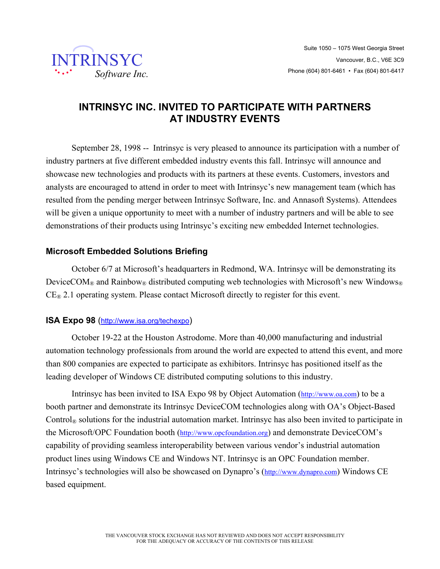

# **INTRINSYC INC. INVITED TO PARTICIPATE WITH PARTNERS AT INDUSTRY EVENTS**

September 28, 1998 -- Intrinsyc is very pleased to announce its participation with a number of industry partners at five different embedded industry events this fall. Intrinsyc will announce and showcase new technologies and products with its partners at these events. Customers, investors and analysts are encouraged to attend in order to meet with Intrinsyc's new management team (which has resulted from the pending merger between Intrinsyc Software, Inc. and Annasoft Systems). Attendees will be given a unique opportunity to meet with a number of industry partners and will be able to see demonstrations of their products using Intrinsyc's exciting new embedded Internet technologies.

# **Microsoft Embedded Solutions Briefing**

October 6/7 at Microsoft's headquarters in Redmond, WA. Intrinsyc will be demonstrating its DeviceCOM® and Rainbow® distributed computing web technologies with Microsoft's new Windows®  $CE<sub>®</sub>$  2.1 operating system. Please contact Microsoft directly to register for this event.

## **ISA Expo 98** (http://www.isa.org/techexpo)

October 19-22 at the Houston Astrodome. More than 40,000 manufacturing and industrial automation technology professionals from around the world are expected to attend this event, and more than 800 companies are expected to participate as exhibitors. Intrinsyc has positioned itself as the leading developer of Windows CE distributed computing solutions to this industry.

Intrinsyc has been invited to ISA Expo 98 by Object Automation (http://www.oa.com) to be a booth partner and demonstrate its Intrinsyc DeviceCOM technologies along with OA's Object-Based Control<sup>®</sup> solutions for the industrial automation market. Intrinsyc has also been invited to participate in the Microsoft/OPC Foundation booth (http://www.opcfoundation.org) and demonstrate DeviceCOM's capability of providing seamless interoperability between various vendor's industrial automation product lines using Windows CE and Windows NT. Intrinsyc is an OPC Foundation member. Intrinsyc's technologies will also be showcased on Dynapro's (http://www.dynapro.com) Windows CE based equipment.